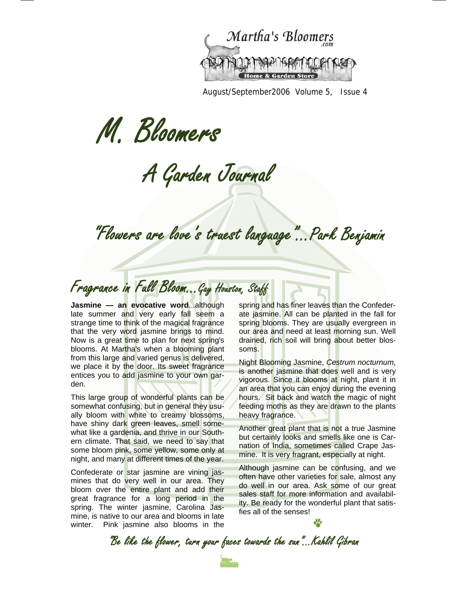

August/September2006 Volume 5, Issue 4

M. Bloomers

A Garden Journal

"Flowers are love's truest language"…Park Benjamin

Fragrance in Full Bloom...Gay Houston, Staff

**Jasmine — an evocative word...although** late summer and very early fall seem a strange time to think of the magical fragrance that the very word jasmine brings to mind. Now is a great time to plan for next spring's blooms. At Martha's when a blooming plant from this large and varied genus is delivered, we place it by the door. Its sweet fragrance entices you to add jasmine to your own garden.

This large group of wonderful plants can be somewhat confusing, but in general they usually bloom with white to creamy blossoms, have shiny dark green leaves, smell somewhat like a gardenia, and thrive in our Southern climate. That said, we need to say that some bloom pink, some yellow, some only at night, and many at different times of the year.

Confederate or star jasmine are vining jasmines that do very well in our area. They bloom over the entire plant and add their great fragrance for a long period in the spring. The winter jasmine, Carolina Jasmine, is native to our area and blooms in late winter. Pink jasmine also blooms in the

spring and has finer leaves than the Confederate jasmine. All can be planted in the fall for spring blooms. They are usually evergreen in our area and need at least morning sun. Well drained, rich soil will bring about better blossoms.

Night Blooming Jasmine, *Cestrum nocturnum*, is another jasmine that does well and is very vigorous. Since it blooms at night, plant it in an area that you can enjoy during the evening hours. Sit back and watch the magic of night feeding moths as they are drawn to the plants heavy fragrance.

Another great plant that is not a true Jasmine but certainly looks and smells like one is Carnation of India, sometimes called Crape Jasmine. It is very fragrant, especially at night.

Although jasmine can be confusing, and we often have other varieties for sale, almost any do well in our area. Ask some of our great sales staff for more information and availability. Be ready for the wonderful plant that satisfies all of the senses!

"Be like the flower, turn your faces towards the sun"...Kahlil Gibran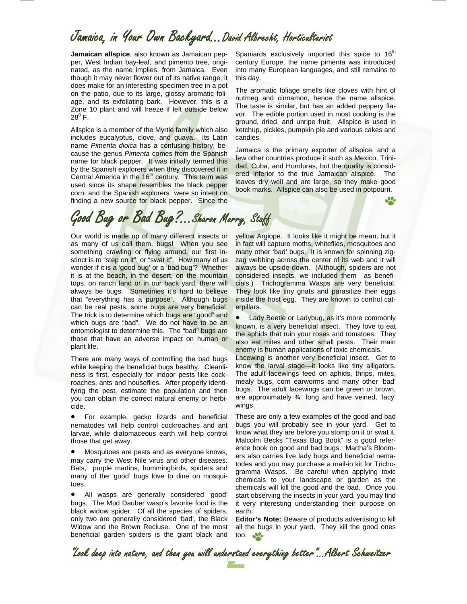## Jamaica, in Your Own Backyard…David Albrecht, Horticulturist

**Jamaican allspice**, also known as Jamaican pepper, West Indian bay-leaf, and pimento tree, originated, as the name implies, from Jamaica. Even though it may never flower out of its native range, it does make for an interesting specimen tree in a pot on the patio, due to its large, glossy aromatic foliage, and its exfoliating bark. However, this is a Zone 10 plant and will freeze if left outside below  $28^0$  F.

Allspice is a member of the Myrtle family which also includes eucalyptus, clove, and guava. Its Latin name *Pimenta dioica* has a confusing history, because the genus *Pimenta* comes from the Spanish name for black pepper. It was initially termed this by the Spanish explorers when they discovered it in Central America in the  $16<sup>th</sup>$  century. This term was used since its shape resembles the black pepper corn, and the Spanish explorers were so intent on finding a new source for black pepper. Since the

Spaniards exclusively imported this spice to  $16<sup>th</sup>$ century Europe, the name pimenta was introduced into many European languages, and still remains to this day.

The aromatic foliage smells like cloves with hint of nutmeg and cinnamon, hence the name allspice. The taste is similar, but has an added peppery flavor. The edible portion used in most cooking is the ground, dried, and unripe fruit. Allspice is used in ketchup, pickles, pumpkin pie and various cakes and candies.

Jamaica is the primary exporter of allspice, and a few other countries produce it such as Mexico, Trinidad, Cuba, and Honduras, but the quality is considered inferior to the true Jamaican allspice. The leaves dry well and are large, so they make good book marks. Allspice can also be used in potpourri.

# Good Bug or Bad Bug?...Sharon Murry, Staff

Our world is made up of many different insects or as many of us call them, bugs! When you see something crawling or flying around, our first instinct is to "step on it", or "swat it". How many of us wonder if it is a 'good bug' or a 'bad bug'? Whether it is at the beach, in the desert, on the mountain tops, on ranch land or in our back yard, there will always be bugs. Sometimes it's hard to believe that "everything has a purpose". Although bugs can be real pests, some bugs are very beneficial. The trick is to determine which bugs are "good" and which bugs are "bad". We do not have to be an entomologist to determine this. The "bad" bugs are those that have an adverse impact on human or plant life.

There are many ways of controlling the bad bugs while keeping the beneficial bugs healthy. Cleanliness is first, especially for indoor pests like cockroaches, ants and houseflies. After properly identifying the pest, estimate the population and then you can obtain the correct natural enemy or herbicide.

• For example, gecko lizards and beneficial nematodes will help control cockroaches and ant larvae, while diatomaceous earth will help control those that get away.

• Mosquitoes are pests and as everyone knows, may carry the West Nile virus and other diseases. Bats, purple martins, hummingbirds, spiders and many of the 'good' bugs love to dine on mosquitoes.

• All wasps are generally considered 'good' bugs. The Mud Dauber wasp's favorite food is the black widow spider. Of all the species of spiders, only two are generally considered 'bad', the Black Widow and the Brown Recluse. One of the most beneficial garden spiders is the giant black and yellow Argiope. It looks like it might be mean, but it in fact will capture moths, whiteflies, mosquitoes and many other 'bad' bugs. It is known for spinning zigzag webbing across the center of its web and it will always be upside down. (Although, spiders are not considered insects, we included them as beneficials.) Trichogramma Wasps are very beneficial. They look like tiny gnats and parasitize their eggs inside the host egg. They are known to control caterpillars.

• Lady Beetle or Ladybug, as it's more commonly known, is a very beneficial insect. They love to eat the aphids that ruin your roses and tomatoes. They also eat mites and other small pests. Their main enemy is human applications of toxic chemicals.

Lacewing is another very beneficial insect. Get to know the larval stage—it looks like tiny alligators. The adult lacewings feed on aphids, thrips, mites, mealy bugs, corn earworms and many other 'bad' bugs. The adult lacewings can be green or brown, are approximately ¾" long and have veined, 'lacy' wings.

These are only a few examples of the good and bad bugs you will probably see in your yard. Get to know what they are before you stomp on it or swat it. Malcolm Becks "Texas Bug Book" is a good reference book on good and bad bugs. Martha's Bloomers also carries live lady bugs and beneficial nematodes and you may purchase a mail-in kit for Trichogramma Wasps. Be careful when applying toxic chemicals to your landscape or garden as the chemicals will kill the good and the bad. Once you start observing the insects in your yard, you may find it very interesting understanding their purpose on earth.

**Editor's Note:** Beware of products advertising to kill all the bugs in your yard. They kill the good ones too.

"Look deep into nature, and then you will understand everything better"...Albert Schweitzer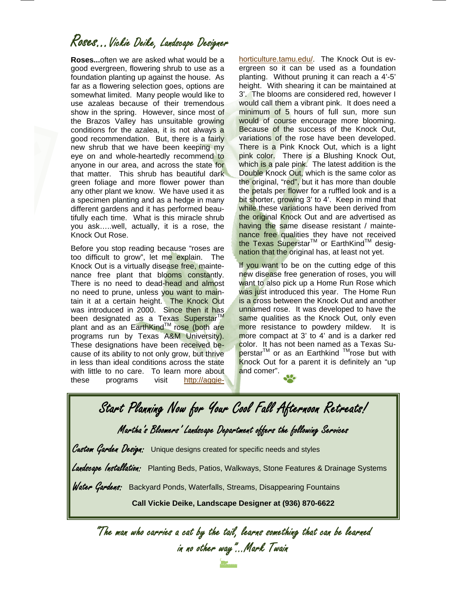## Roses…Vickie Deike, Landscape Designer

**Roses...**often we are asked what would be a good evergreen, flowering shrub to use as a foundation planting up against the house. As far as a flowering selection goes, options are somewhat limited. Many people would like to use azaleas because of their tremendous show in the spring. However, since most of the Brazos Valley has unsuitable growing conditions for the azalea, it is not always a good recommendation. But, there is a fairly new shrub that we have been keeping my eye on and whole-heartedly recommend to anyone in our area, and across the state for that matter. This shrub has beautiful dark green foliage and more flower power than any other plant we know. We have used it as a specimen planting and as a hedge in many different gardens and it has performed beautifully each time. What is this miracle shrub you ask…..well, actually, it is a rose, the Knock Out Rose.

Before you stop reading because "roses are too difficult to grow", let me explain. The Knock Out is a virtually disease free, maintenance free plant that blooms constantly. There is no need to dead-head and almost no need to prune, unless you want to maintain it at a certain height. The Knock Out was introduced in 2000. Since then it has been designated as a Texas Superstar<sup>TM</sup> plant and as an EarthKind™ rose (both are programs run by Texas A&M University). These designations have been received because of its ability to not only grow, but thrive in less than ideal conditions across the state with little to no care. To learn more about these programs visit http://aggiehorticulture.tamu.edu/. The Knock Out is evergreen so it can be used as a foundation planting. Without pruning it can reach a 4'-5' height. With shearing it can be maintained at 3'. The blooms are considered red, however I would call them a vibrant pink. It does need a minimum of 5 hours of full sun, more sun would of course encourage more blooming. Because of the success of the Knock Out, variations of the rose have been developed. There is a Pink Knock Out, which is a light pink color. There is a Blushing Knock Out, which is a pale pink. The latest addition is the Double Knock Out, which is the same color as the original, "red", but it has more than double the petals per flower for a ruffled look and is a bit shorter, growing 3' to 4'. Keep in mind that while these variations have been derived from the original Knock Out and are advertised as having the same disease resistant / maintenance free qualities they have not received the Texas Superstar<sup>™</sup> or EarthKind™ designation that the original has, at least not yet.

If you want to be on the cutting edge of this new disease free generation of roses, you will want to also pick up a Home Run Rose which was just introduced this year. The Home Run is a cross between the Knock Out and another unnamed rose. It was developed to have the same qualities as the Knock Out, only even more resistance to powdery mildew. It is more compact at 3' to 4' and is a darker red color. It has not been named as a Texas Superstar<sup>™</sup> or as an Earthkind ™rose but with Knock Out for a parent it is definitely an "up and comer".

Start Planning Now for Your Cool Fall Afternoon Retreats! Martha's Bloomers' Landscape Department offers the following Services Custom Garden Design: Unique designs created for specific needs and styles *Lardscape Installation:* Planting Beds, Patios, Walkways, Stone Features & Drainage Systems Water Gardens: Backyard Ponds, Waterfalls, Streams, Disappearing Fountains **Call Vickie Deike, Landscape Designer at (936) 870-6622** 

"The man who carries a cat by the tail, learns something that can be learned in no other way"...Mark Twain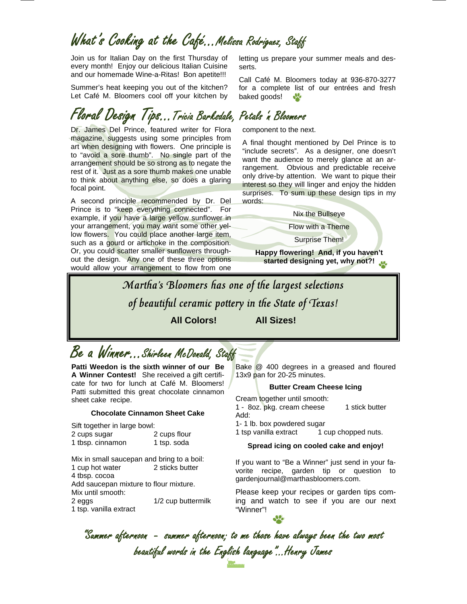## What's Cooking at the Café…Melissa Rodriguez, Staff

Join us for Italian Day on the first Thursday of every month! Enjoy our delicious Italian Cuisine and our homemade Wine-a-Ritas! Bon apetite!!!

Summer's heat keeping you out of the kitchen? Let Café M. Bloomers cool off your kitchen by

## Floral Design Tips…Tricia Barksdale, Petals 'n Bloomers

Dr. James Del Prince, featured writer for Flora magazine, suggests using some principles from art when designing with flowers. One principle is to "avoid a sore thumb". No single part of the arrangement should be so strong as to negate the rest of it. Just as a sore thumb makes one unable to think about anything else, so does a glaring focal point.

A second principle recommended by Dr. Del Prince is to "keep everything connected". For example, if you have a large yellow sunflower in your arrangement, you may want some other yellow flowers. You could place another large item, such as a gourd or artichoke in the composition. Or, you could scatter smaller sunflowers throughout the design. Any one of these three options would allow your arrangement to flow from one

letting us prepare your summer meals and desserts.

Call Café M. Bloomers today at 936-870-3277 for a complete list of our entrées and fresh baked goods!  $\frac{1}{2}$ 

component to the next.

A final thought mentioned by Del Prince is to "include secrets". As a designer, one doesn't want the audience to merely glance at an arrangement. Obvious and predictable receive only drive-by attention. We want to pique their interest so they will linger and enjoy the hidden surprises. To sum up these design tips in my words:

Nix the Bullseye

Flow with a Theme

Surprise Them!

**Happy flowering! And, if you haven't started designing yet, why not?!** 

Martha's Bloomers has one of the largest selections of beautiful ceramic pottery in the State of Texas! **All Colors! All Sizes!** 

Be a Winner...Shirleen McDonald, Staff

**Patti Weedon is the sixth winner of our Be A Winner Contest!** She received a gift certificate for two for lunch at Café M. Bloomers! Patti submitted this great chocolate cinnamon sheet cake recipe.

#### **Chocolate Cinnamon Sheet Cake**

Sift together in large bowl:

- 2 cups sugar 2 cups flour 1 tbsp. cinnamon 1 tsp. soda
- 

Mix in small saucepan and bring to a boil: 1 cup hot water 2 sticks butter 4 tbsp. cocoa Add saucepan mixture to flour mixture.

Mix until smooth:

2 eggs 1/2 cup buttermilk

1 tsp. vanilla extract

Bake @ 400 degrees in a greased and floured 13x9 pan for 20-25 minutes.

#### **Butter Cream Cheese Icing**

Cream together until smooth:

1 - 8oz. pkg. cream cheese 1 stick butter Add:

1- 1 lb. box powdered sugar

1 tsp vanilla extract 1 cup chopped nuts.

#### **Spread icing on cooled cake and enjoy!**

If you want to "Be a Winner" just send in your favorite recipe, garden tip or question to gardenjournal@marthasbloomers.com.

Please keep your recipes or garden tips coming and watch to see if you are our next "Winner"!

 beautiful words in the English language"...Henry James "Summer afternoon - summer afternoon; to me those have always been the two most